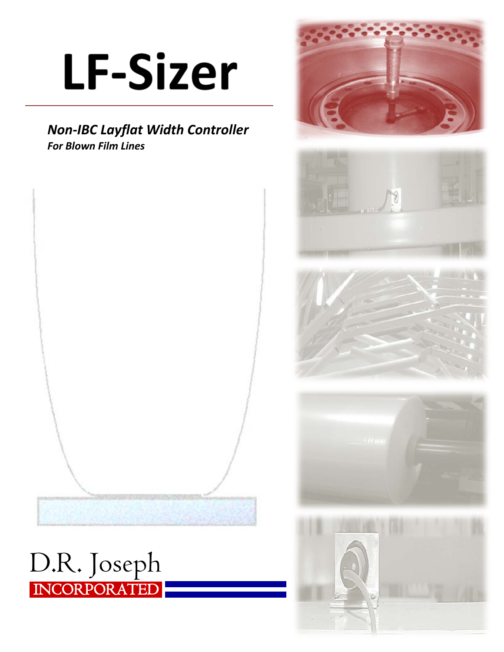# **LF-Sizer**

### *Non-IBC Layflat Width Controller For Blown Film Lines*













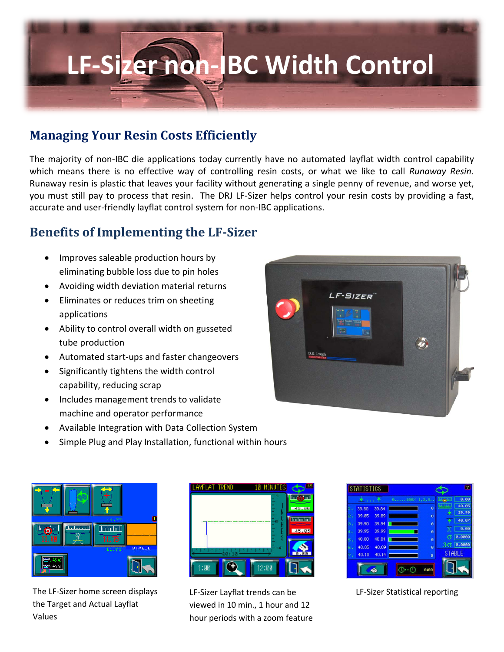## **LF-Sizer non-IBC Width Control**

### **Managing Your Resin Costs Efficiently**

The majority of non-IBC die applications today currently have no automated layflat width control capability which means there is no effective way of controlling resin costs, or what we like to call *Runaway Resin*. Runaway resin is plastic that leaves your facility without generating a single penny of revenue, and worse yet, you must still pay to process that resin. The DRJ LF-Sizer helps control your resin costs by providing a fast, accurate and user-friendly layflat control system for non-IBC applications.

### **Benefits of Implementing the LF-Sizer**

- Improves saleable production hours by eliminating bubble loss due to pin holes
- Avoiding width deviation material returns
- Eliminates or reduces trim on sheeting applications
- Ability to control overall width on gusseted tube production
- Automated start-ups and faster changeovers
- Significantly tightens the width control capability, reducing scrap
- Includes management trends to validate machine and operator performance
- Available Integration with Data Collection System
- Simple Plug and Play Installation, functional within hours



The LF-Sizer home screen displays the Target and Actual Layflat Values



LF-Sizer Layflat trends can be viewed in 10 min., 1 hour and 12 hour periods with a zoom feature

|       |       | $0, \ldots, 100$ % $1, 2, 3, \ldots$ |   | <b>Black</b>   | 0.00   |
|-------|-------|--------------------------------------|---|----------------|--------|
| 39.80 | 39.84 |                                      | ø | <b>Billing</b> | 40.05  |
| 39,85 | 39.89 |                                      | ø |                | 39.99  |
| 39,90 | 39.94 |                                      | ø |                | 40.07  |
| 39,95 | 39.99 |                                      | ø |                | 0.00   |
| 40,00 | 40.04 |                                      | ø |                | 8.8808 |
| 40.05 | 40.09 |                                      | ø |                | 0.0000 |
| 40.10 | 40.14 |                                      | ø | <b>STABLE</b>  |        |
|       |       |                                      |   |                |        |

LF-Sizer Statistical reporting

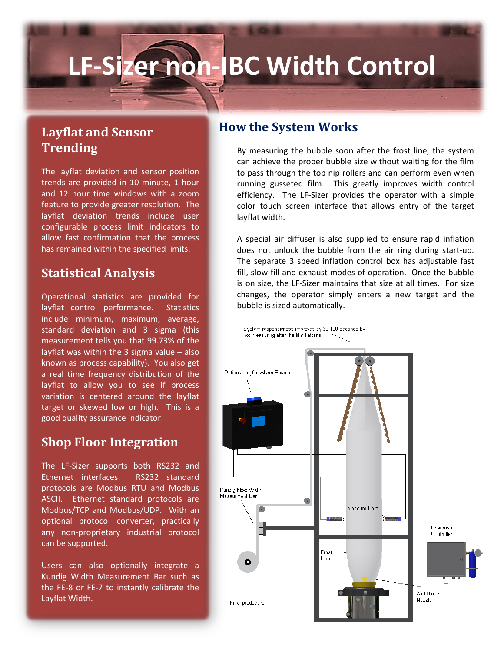### **LF-Sizer non-IBC Width Control**

### **Layflat and Sensor Trending**

The layflat deviation and sensor position trends are provided in 10 minute, 1 hour and 12 hour time windows with a zoom feature to provide greater resolution. The layflat deviation trends include user configurable process limit indicators to allow fast confirmation that the process has remained within the specified limits.

### **Statistical Analysis**

Operational statistics are provided for layflat control performance. Statistics include minimum, maximum, average, standard deviation and 3 sigma (this measurement tells you that 99.73% of the layflat was within the 3 sigma value  $-$  also known as process capability). You also get a real time frequency distribution of the layflat to allow you to see if process variation is centered around the layflat target or skewed low or high. This is a good quality assurance indicator.

### **Shop Floor Integration**

The LF-Sizer supports both RS232 and Ethernet interfaces. RS232 standard protocols are Modbus RTU and Modbus ASCII. Ethernet standard protocols are Modbus/TCP and Modbus/UDP. With an optional protocol converter, practically any non-proprietary industrial protocol can be supported.

Users can also optionally integrate a Kundig Width Measurement Bar such as the FE-8 or FE-7 to instantly calibrate the Layflat Width.

#### **How the System Works**

By measuring the bubble soon after the frost line, the system can achieve the proper bubble size without waiting for the film to pass through the top nip rollers and can perform even when running gusseted film. This greatly improves width control efficiency. The LF-Sizer provides the operator with a simple color touch screen interface that allows entry of the target layflat width.

A special air diffuser is also supplied to ensure rapid inflation does not unlock the bubble from the air ring during start-up. The separate 3 speed inflation control box has adjustable fast fill, slow fill and exhaust modes of operation. Once the bubble is on size, the LF-Sizer maintains that size at all times. For size changes, the operator simply enters a new target and the bubble is sized automatically.